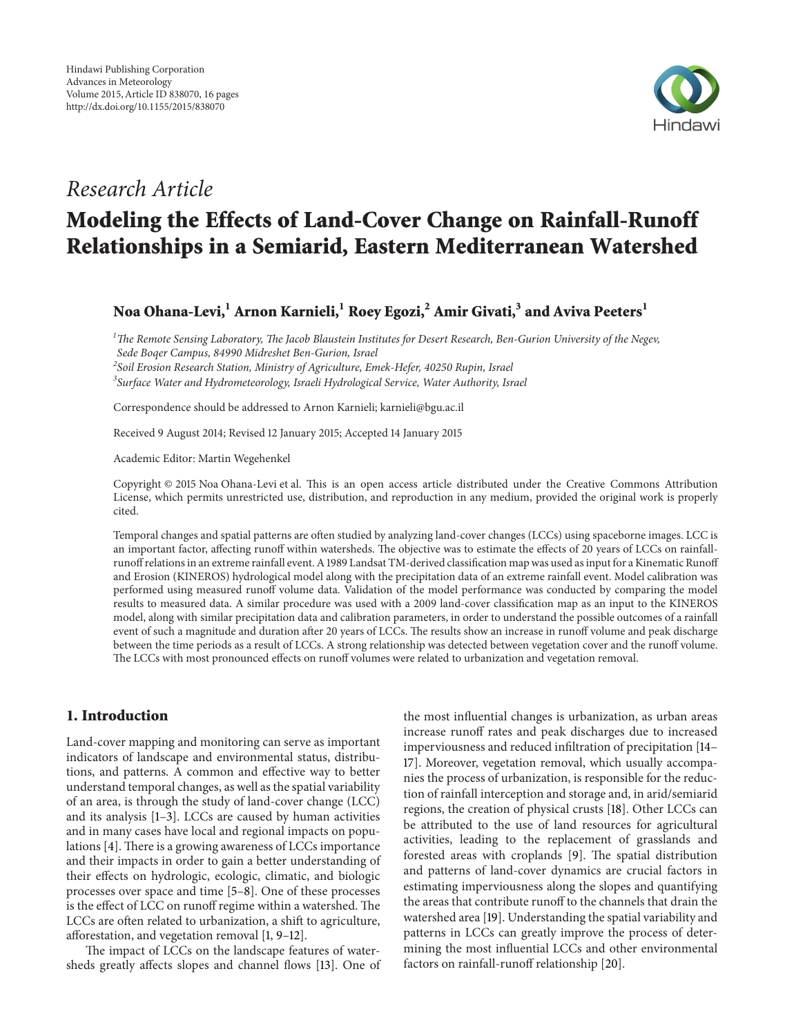

## *Research Article*

# **Modeling the Effects of Land-Cover Change on Rainfall-Runoff Relationships in a Semiarid, Eastern Mediterranean Watershed**

**Noa Ohana-Levi,1 Arnon Karnieli,1 Roey Egozi,<sup>2</sup> Amir Givati,3 and Aviva Peeters<sup>1</sup>**

*1 The Remote Sensing Laboratory, The Jacob Blaustein Institutes for Desert Research, Ben-Gurion University of the Negev, Sede Boqer Campus, 84990 Midreshet Ben-Gurion, Israel*

*2 Soil Erosion Research Station, Ministry of Agriculture, Emek-Hefer, 40250 Rupin, Israel 3 Surface Water and Hydrometeorology, Israeli Hydrological Service, Water Authority, Israel*

Correspondence should be addressed to Arnon Karnieli; karnieli@bgu.ac.il

Received 9 August 2014; Revised 12 January 2015; Accepted 14 January 2015

Academic Editor: Martin Wegehenkel

Copyright © 2015 Noa Ohana-Levi et al. This is an open access article distributed under the Creative Commons Attribution License, which permits unrestricted use, distribution, and reproduction in any medium, provided the original work is properly cited.

Temporal changes and spatial patterns are often studied by analyzing land-cover changes (LCCs) using spaceborne images. LCC is an important factor, affecting runoff within watersheds. The objective was to estimate the effects of 20 years of LCCs on rainfallrunoff relations in an extreme rainfall event. A 1989 Landsat TM-derived classification map was used as input for a Kinematic Runoff and Erosion (KINEROS) hydrological model along with the precipitation data of an extreme rainfall event. Model calibration was performed using measured runoff volume data. Validation of the model performance was conducted by comparing the model results to measured data. A similar procedure was used with a 2009 land-cover classification map as an input to the KINEROS model, along with similar precipitation data and calibration parameters, in order to understand the possible outcomes of a rainfall event of such a magnitude and duration after 20 years of LCCs. The results show an increase in runoff volume and peak discharge between the time periods as a result of LCCs. A strong relationship was detected between vegetation cover and the runoff volume. The LCCs with most pronounced effects on runoff volumes were related to urbanization and vegetation removal.

#### **1. Introduction**

Land-cover mapping and monitoring can serve as important indicators of landscape and environmental status, distributions, and patterns. A common and effective way to better understand temporal changes, as well as the spatial variability of an area, is through the study of land-cover change (LCC) and its analysis [1–3]. LCCs are caused by human activities and in many cases have local and regional impacts on populations [4]. There is a growing awareness of LCCs importance and their impacts in order to gain a better understanding of their effects on hydrologic, ecologic, climatic, and biologic processes over space and time [5–8]. One of these processes is the effect of LCC on runoff regime within a watershed. The LCCs are often related to urbanization, a shift to agriculture, afforestation, and vegetation removal [1, 9–12].

The impact of LCCs on the landscape features of watersheds greatly affects slopes and channel flows [13]. One of the most influential changes is urbanization, as urban areas increase runoff rates and peak discharges due to increased imperviousness and reduced infiltration of precipitation [14– 17]. Moreover, vegetation removal, which usually accompanies the process of urbanization, is responsible for the reduction of rainfall interception and storage and, in arid/semiarid regions, the creation of physical crusts [18]. Other LCCs can be attributed to the use of land resources for agricultural activities, leading to the replacement of grasslands and forested areas with croplands [9]. The spatial distribution and patterns of land-cover dynamics are crucial factors in estimating imperviousness along the slopes and quantifying the areas that contribute runoff to the channels that drain the watershed area [19]. Understanding the spatial variability and patterns in LCCs can greatly improve the process of determining the most influential LCCs and other environmental factors on rainfall-runoff relationship [20].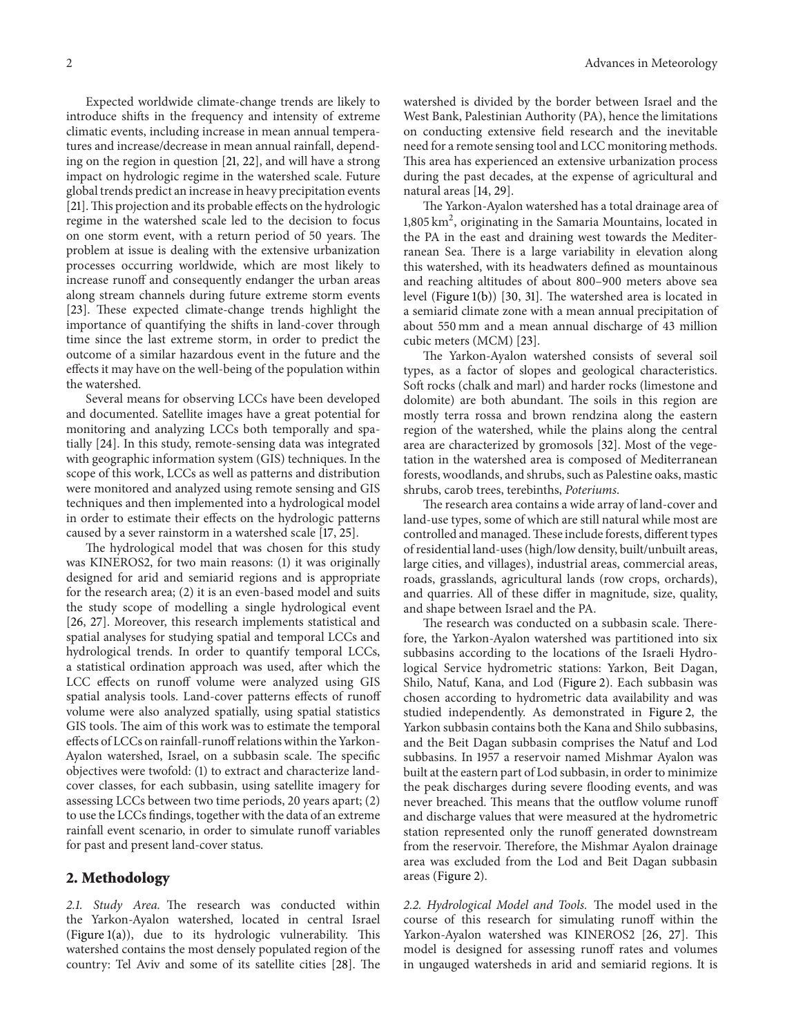Expected worldwide climate-change trends are likely to introduce shifts in the frequency and intensity of extreme climatic events, including increase in mean annual temperatures and increase/decrease in mean annual rainfall, depending on the region in question [21, 22], and will have a strong impact on hydrologic regime in the watershed scale. Future global trends predict an increase in heavy precipitation events [21].This projection and its probable effects on the hydrologic regime in the watershed scale led to the decision to focus on one storm event, with a return period of 50 years. The problem at issue is dealing with the extensive urbanization processes occurring worldwide, which are most likely to increase runoff and consequently endanger the urban areas along stream channels during future extreme storm events [23]. These expected climate-change trends highlight the importance of quantifying the shifts in land-cover through time since the last extreme storm, in order to predict the outcome of a similar hazardous event in the future and the effects it may have on the well-being of the population within the watershed.

Several means for observing LCCs have been developed and documented. Satellite images have a great potential for monitoring and analyzing LCCs both temporally and spatially [24]. In this study, remote-sensing data was integrated with geographic information system (GIS) techniques. In the scope of this work, LCCs as well as patterns and distribution were monitored and analyzed using remote sensing and GIS techniques and then implemented into a hydrological model in order to estimate their effects on the hydrologic patterns caused by a sever rainstorm in a watershed scale [17, 25].

The hydrological model that was chosen for this study was KINEROS2, for two main reasons: (1) it was originally designed for arid and semiarid regions and is appropriate for the research area; (2) it is an even-based model and suits the study scope of modelling a single hydrological event [26, 27]. Moreover, this research implements statistical and spatial analyses for studying spatial and temporal LCCs and hydrological trends. In order to quantify temporal LCCs, a statistical ordination approach was used, after which the LCC effects on runoff volume were analyzed using GIS spatial analysis tools. Land-cover patterns effects of runoff volume were also analyzed spatially, using spatial statistics GIS tools. The aim of this work was to estimate the temporal effects of LCCs on rainfall-runoff relations within the Yarkon-Ayalon watershed, Israel, on a subbasin scale. The specific objectives were twofold: (1) to extract and characterize landcover classes, for each subbasin, using satellite imagery for assessing LCCs between two time periods, 20 years apart; (2) to use the LCCs findings, together with the data of an extreme rainfall event scenario, in order to simulate runoff variables for past and present land-cover status.

### **2. Methodology**

*2.1. Study Area.* The research was conducted within the Yarkon-Ayalon watershed, located in central Israel (Figure 1(a)), due to its hydrologic vulnerability. This watershed contains the most densely populated region of the country: Tel Aviv and some of its satellite cities [28]. The watershed is divided by the border between Israel and the West Bank, Palestinian Authority (PA), hence the limitations on conducting extensive field research and the inevitable need for a remote sensing tool and LCC monitoring methods. This area has experienced an extensive urbanization process during the past decades, at the expense of agricultural and natural areas [14, 29].

The Yarkon-Ayalon watershed has a total drainage area of 1,805 km<sup>2</sup>, originating in the Samaria Mountains, located in the PA in the east and draining west towards the Mediterranean Sea. There is a large variability in elevation along this watershed, with its headwaters defined as mountainous and reaching altitudes of about 800–900 meters above sea level (Figure 1(b)) [30, 31]. The watershed area is located in a semiarid climate zone with a mean annual precipitation of about 550 mm and a mean annual discharge of 43 million cubic meters (MCM) [23].

The Yarkon-Ayalon watershed consists of several soil types, as a factor of slopes and geological characteristics. Soft rocks (chalk and marl) and harder rocks (limestone and dolomite) are both abundant. The soils in this region are mostly terra rossa and brown rendzina along the eastern region of the watershed, while the plains along the central area are characterized by gromosols [32]. Most of the vegetation in the watershed area is composed of Mediterranean forests, woodlands, and shrubs, such as Palestine oaks, mastic shrubs, carob trees, terebinths, *Poteriums*.

The research area contains a wide array of land-cover and land-use types, some of which are still natural while most are controlled and managed.These include forests, different types of residential land-uses (high/low density, built/unbuilt areas, large cities, and villages), industrial areas, commercial areas, roads, grasslands, agricultural lands (row crops, orchards), and quarries. All of these differ in magnitude, size, quality, and shape between Israel and the PA.

The research was conducted on a subbasin scale. Therefore, the Yarkon-Ayalon watershed was partitioned into six subbasins according to the locations of the Israeli Hydrological Service hydrometric stations: Yarkon, Beit Dagan, Shilo, Natuf, Kana, and Lod (Figure 2). Each subbasin was chosen according to hydrometric data availability and was studied independently. As demonstrated in Figure 2, the Yarkon subbasin contains both the Kana and Shilo subbasins, and the Beit Dagan subbasin comprises the Natuf and Lod subbasins. In 1957 a reservoir named Mishmar Ayalon was built at the eastern part of Lod subbasin, in order to minimize the peak discharges during severe flooding events, and was never breached. This means that the outflow volume runoff and discharge values that were measured at the hydrometric station represented only the runoff generated downstream from the reservoir. Therefore, the Mishmar Ayalon drainage area was excluded from the Lod and Beit Dagan subbasin areas (Figure 2).

*2.2. Hydrological Model and Tools.* The model used in the course of this research for simulating runoff within the Yarkon-Ayalon watershed was KINEROS2 [26, 27]. This model is designed for assessing runoff rates and volumes in ungauged watersheds in arid and semiarid regions. It is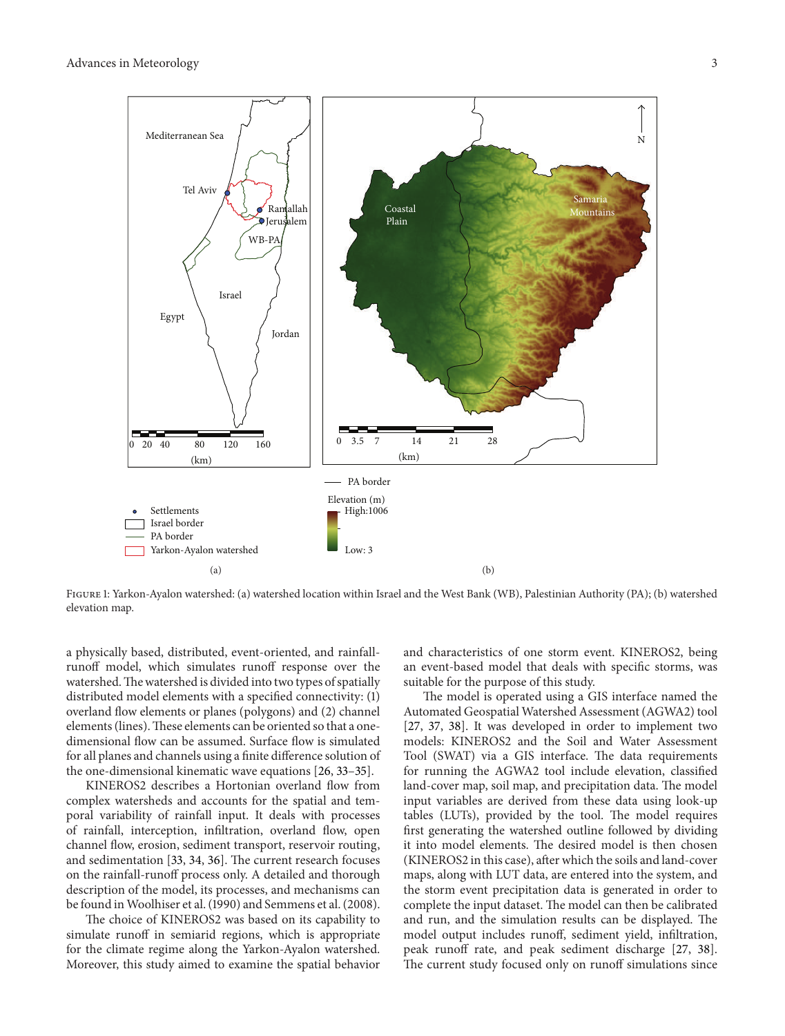

Figure 1: Yarkon-Ayalon watershed: (a) watershed location within Israel and the West Bank (WB), Palestinian Authority (PA); (b) watershed elevation map.

a physically based, distributed, event-oriented, and rainfallrunoff model, which simulates runoff response over the watershed.The watershed is divided into two types of spatially distributed model elements with a specified connectivity: (1) overland flow elements or planes (polygons) and (2) channel elements (lines). These elements can be oriented so that a onedimensional flow can be assumed. Surface flow is simulated for all planes and channels using a finite difference solution of the one-dimensional kinematic wave equations [26, 33–35].

KINEROS2 describes a Hortonian overland flow from complex watersheds and accounts for the spatial and temporal variability of rainfall input. It deals with processes of rainfall, interception, infiltration, overland flow, open channel flow, erosion, sediment transport, reservoir routing, and sedimentation [33, 34, 36]. The current research focuses on the rainfall-runoff process only. A detailed and thorough description of the model, its processes, and mechanisms can be found in Woolhiser et al. (1990) and Semmens et al. (2008).

The choice of KINEROS2 was based on its capability to simulate runoff in semiarid regions, which is appropriate for the climate regime along the Yarkon-Ayalon watershed. Moreover, this study aimed to examine the spatial behavior

and characteristics of one storm event. KINEROS2, being an event-based model that deals with specific storms, was suitable for the purpose of this study.

The model is operated using a GIS interface named the Automated Geospatial Watershed Assessment (AGWA2) tool [27, 37, 38]. It was developed in order to implement two models: KINEROS2 and the Soil and Water Assessment Tool (SWAT) via a GIS interface. The data requirements for running the AGWA2 tool include elevation, classified land-cover map, soil map, and precipitation data. The model input variables are derived from these data using look-up tables (LUTs), provided by the tool. The model requires first generating the watershed outline followed by dividing it into model elements. The desired model is then chosen (KINEROS2 in this case), after which the soils and land-cover maps, along with LUT data, are entered into the system, and the storm event precipitation data is generated in order to complete the input dataset. The model can then be calibrated and run, and the simulation results can be displayed. The model output includes runoff, sediment yield, infiltration, peak runoff rate, and peak sediment discharge [27, 38]. The current study focused only on runoff simulations since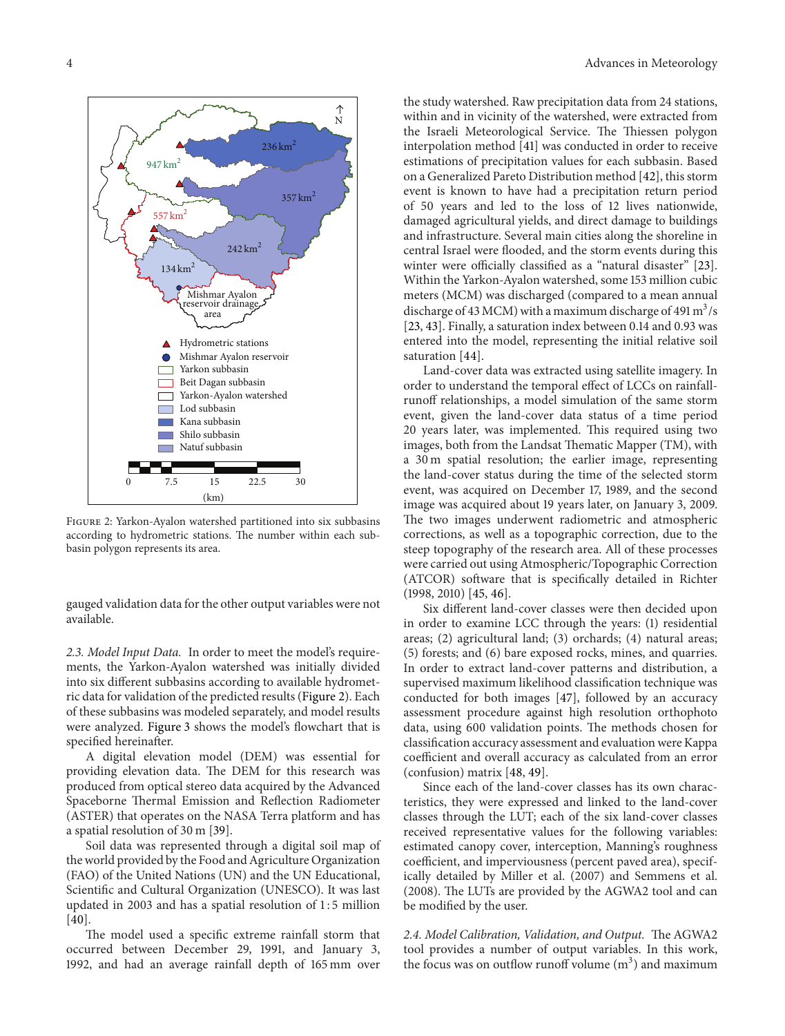

Figure 2: Yarkon-Ayalon watershed partitioned into six subbasins according to hydrometric stations. The number within each subbasin polygon represents its area.

gauged validation data for the other output variables were not available.

*2.3. Model Input Data.* In order to meet the model's requirements, the Yarkon-Ayalon watershed was initially divided into six different subbasins according to available hydrometric data for validation of the predicted results (Figure 2). Each of these subbasins was modeled separately, and model results were analyzed. Figure 3 shows the model's flowchart that is specified hereinafter.

A digital elevation model (DEM) was essential for providing elevation data. The DEM for this research was produced from optical stereo data acquired by the Advanced Spaceborne Thermal Emission and Reflection Radiometer (ASTER) that operates on the NASA Terra platform and has a spatial resolution of 30 m [39].

Soil data was represented through a digital soil map of the world provided by the Food and Agriculture Organization (FAO) of the United Nations (UN) and the UN Educational, Scientific and Cultural Organization (UNESCO). It was last updated in 2003 and has a spatial resolution of 1:5 million [40].

The model used a specific extreme rainfall storm that occurred between December 29, 1991, and January 3, 1992, and had an average rainfall depth of 165 mm over

the study watershed. Raw precipitation data from 24 stations, within and in vicinity of the watershed, were extracted from the Israeli Meteorological Service. The Thiessen polygon interpolation method [41] was conducted in order to receive estimations of precipitation values for each subbasin. Based on a Generalized Pareto Distribution method [42], this storm event is known to have had a precipitation return period of 50 years and led to the loss of 12 lives nationwide, damaged agricultural yields, and direct damage to buildings and infrastructure. Several main cities along the shoreline in central Israel were flooded, and the storm events during this winter were officially classified as a "natural disaster" [23]. Within the Yarkon-Ayalon watershed, some 153 million cubic meters (MCM) was discharged (compared to a mean annual discharge of 43 MCM) with a maximum discharge of 491 m<sup>3</sup>/s [23, 43]. Finally, a saturation index between 0.14 and 0.93 was entered into the model, representing the initial relative soil saturation [44].

Land-cover data was extracted using satellite imagery. In order to understand the temporal effect of LCCs on rainfallrunoff relationships, a model simulation of the same storm event, given the land-cover data status of a time period 20 years later, was implemented. This required using two images, both from the Landsat Thematic Mapper (TM), with a 30 m spatial resolution; the earlier image, representing the land-cover status during the time of the selected storm event, was acquired on December 17, 1989, and the second image was acquired about 19 years later, on January 3, 2009. The two images underwent radiometric and atmospheric corrections, as well as a topographic correction, due to the steep topography of the research area. All of these processes were carried out using Atmospheric/Topographic Correction (ATCOR) software that is specifically detailed in Richter (1998, 2010) [45, 46].

Six different land-cover classes were then decided upon in order to examine LCC through the years: (1) residential areas; (2) agricultural land; (3) orchards; (4) natural areas; (5) forests; and (6) bare exposed rocks, mines, and quarries. In order to extract land-cover patterns and distribution, a supervised maximum likelihood classification technique was conducted for both images [47], followed by an accuracy assessment procedure against high resolution orthophoto data, using 600 validation points. The methods chosen for classification accuracy assessment and evaluation were Kappa coefficient and overall accuracy as calculated from an error (confusion) matrix [48, 49].

Since each of the land-cover classes has its own characteristics, they were expressed and linked to the land-cover classes through the LUT; each of the six land-cover classes received representative values for the following variables: estimated canopy cover, interception, Manning's roughness coefficient, and imperviousness (percent paved area), specifically detailed by Miller et al. (2007) and Semmens et al. (2008). The LUTs are provided by the AGWA2 tool and can be modified by the user.

*2.4. Model Calibration, Validation, and Output.* The AGWA2 tool provides a number of output variables. In this work, the focus was on outflow runoff volume  $(m^3)$  and maximum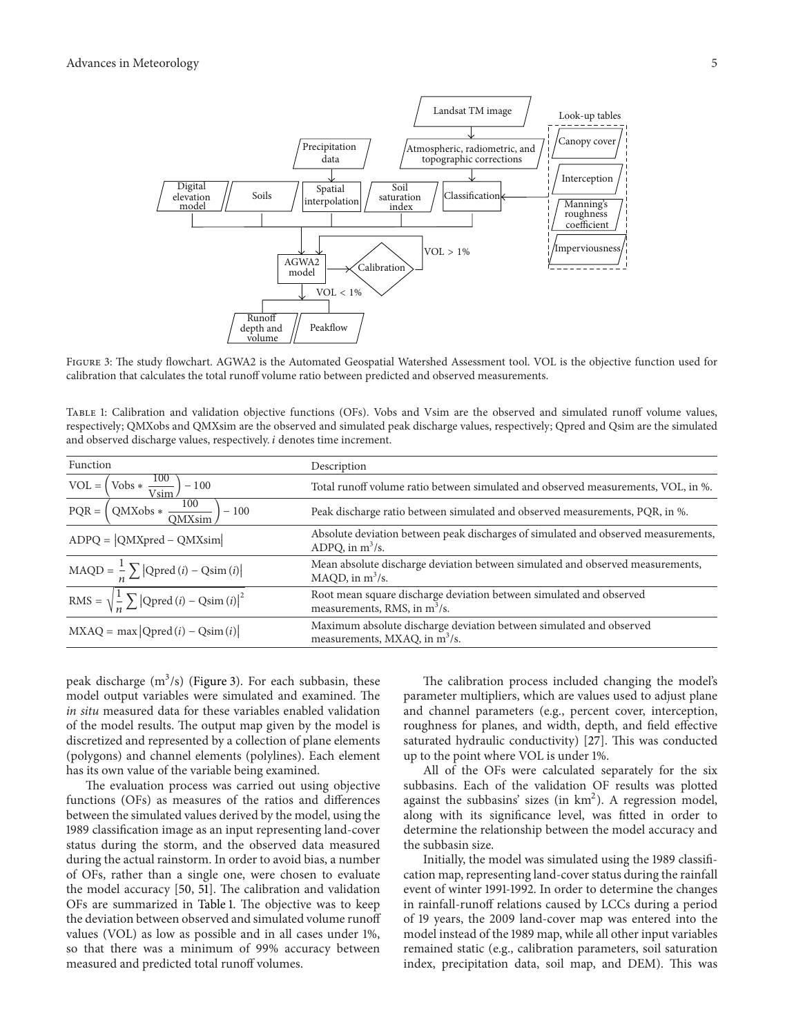

Figure 3: The study flowchart. AGWA2 is the Automated Geospatial Watershed Assessment tool. VOL is the objective function used for calibration that calculates the total runoff volume ratio between predicted and observed measurements.

Table 1: Calibration and validation objective functions (OFs). Vobs and Vsim are the observed and simulated runoff volume values, respectively; QMXobs and QMXsim are the observed and simulated peak discharge values, respectively; Qpred and Qsim are the simulated and observed discharge values, respectively. *i* denotes time increment.

| Function                                                                | Description                                                                                                      |
|-------------------------------------------------------------------------|------------------------------------------------------------------------------------------------------------------|
| $\text{VOL} = \left(\text{Vobs} * \frac{100}{\text{Vsim}}\right) - 100$ | Total runoff volume ratio between simulated and observed measurements, VOL, in %.                                |
| $PQR = \left(QMXobs * \frac{100}{OMXsim}\right) - 100$                  | Peak discharge ratio between simulated and observed measurements, PQR, in %.                                     |
| $ADPQ =  QMXpred - QMXsim $                                             | Absolute deviation between peak discharges of simulated and observed measurements,<br>ADPQ, in $m^3/s$ .         |
| MAQD = $\frac{1}{n} \sum  \text{Qpred}(i) - \text{Qsim}(i) $            | Mean absolute discharge deviation between simulated and observed measurements,<br>$MAQD$ , in $m^3/s$ .          |
| RMS = $\sqrt{\frac{1}{n} \sum  \text{Qpred}(i) - \text{Qsim}(i) ^2}$    | Root mean square discharge deviation between simulated and observed<br>measurements, RMS, in $m^3/s$ .           |
| $MXAQ = max  Qpred (i) - Qsim (i) $                                     | Maximum absolute discharge deviation between simulated and observed<br>measurements, MXAQ, in m <sup>3</sup> /s. |
|                                                                         |                                                                                                                  |

peak discharge  $(m^3/s)$  (Figure 3). For each subbasin, these model output variables were simulated and examined. The *in situ* measured data for these variables enabled validation of the model results. The output map given by the model is discretized and represented by a collection of plane elements (polygons) and channel elements (polylines). Each element has its own value of the variable being examined.

The evaluation process was carried out using objective functions (OFs) as measures of the ratios and differences between the simulated values derived by the model, using the 1989 classification image as an input representing land-cover status during the storm, and the observed data measured during the actual rainstorm. In order to avoid bias, a number of OFs, rather than a single one, were chosen to evaluate the model accuracy [50, 51]. The calibration and validation OFs are summarized in Table 1. The objective was to keep the deviation between observed and simulated volume runoff values (VOL) as low as possible and in all cases under 1%, so that there was a minimum of 99% accuracy between measured and predicted total runoff volumes.

The calibration process included changing the model's parameter multipliers, which are values used to adjust plane and channel parameters (e.g., percent cover, interception, roughness for planes, and width, depth, and field effective saturated hydraulic conductivity) [27]. This was conducted up to the point where VOL is under 1%.

All of the OFs were calculated separately for the six subbasins. Each of the validation OF results was plotted against the subbasins' sizes (in  $km<sup>2</sup>$ ). A regression model, along with its significance level, was fitted in order to determine the relationship between the model accuracy and the subbasin size.

Initially, the model was simulated using the 1989 classification map, representing land-cover status during the rainfall event of winter 1991-1992. In order to determine the changes in rainfall-runoff relations caused by LCCs during a period of 19 years, the 2009 land-cover map was entered into the model instead of the 1989 map, while all other input variables remained static (e.g., calibration parameters, soil saturation index, precipitation data, soil map, and DEM). This was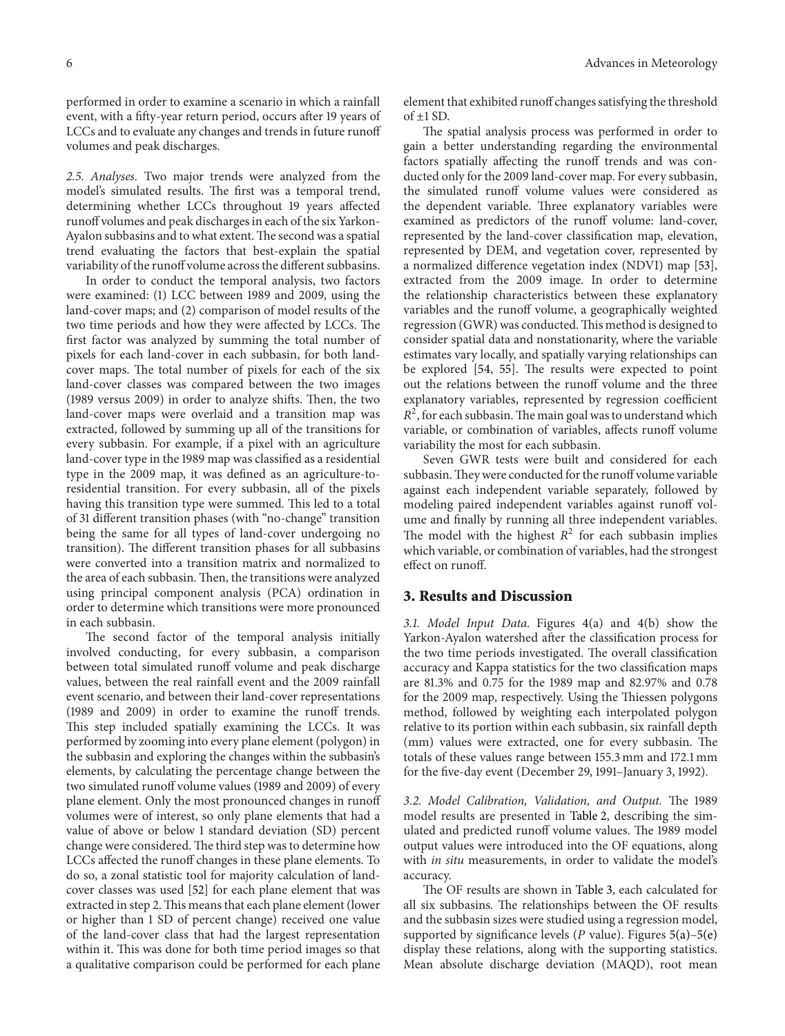performed in order to examine a scenario in which a rainfall event, with a fifty-year return period, occurs after 19 years of LCCs and to evaluate any changes and trends in future runoff volumes and peak discharges.

*2.5. Analyses.* Two major trends were analyzed from the model's simulated results. The first was a temporal trend, determining whether LCCs throughout 19 years affected runoff volumes and peak discharges in each of the six Yarkon-Ayalon subbasins and to what extent. The second was a spatial trend evaluating the factors that best-explain the spatial variability of the runoff volume across the different subbasins.

In order to conduct the temporal analysis, two factors were examined: (1) LCC between 1989 and 2009, using the land-cover maps; and (2) comparison of model results of the two time periods and how they were affected by LCCs. The first factor was analyzed by summing the total number of pixels for each land-cover in each subbasin, for both landcover maps. The total number of pixels for each of the six land-cover classes was compared between the two images (1989 versus 2009) in order to analyze shifts. Then, the two land-cover maps were overlaid and a transition map was extracted, followed by summing up all of the transitions for every subbasin. For example, if a pixel with an agriculture land-cover type in the 1989 map was classified as a residential type in the 2009 map, it was defined as an agriculture-toresidential transition. For every subbasin, all of the pixels having this transition type were summed. This led to a total of 31 different transition phases (with "no-change" transition being the same for all types of land-cover undergoing no transition). The different transition phases for all subbasins were converted into a transition matrix and normalized to the area of each subbasin. Then, the transitions were analyzed using principal component analysis (PCA) ordination in order to determine which transitions were more pronounced in each subbasin.

The second factor of the temporal analysis initially involved conducting, for every subbasin, a comparison between total simulated runoff volume and peak discharge values, between the real rainfall event and the 2009 rainfall event scenario, and between their land-cover representations (1989 and 2009) in order to examine the runoff trends. This step included spatially examining the LCCs. It was performed by zooming into every plane element (polygon) in the subbasin and exploring the changes within the subbasin's elements, by calculating the percentage change between the two simulated runoff volume values (1989 and 2009) of every plane element. Only the most pronounced changes in runoff volumes were of interest, so only plane elements that had a value of above or below 1 standard deviation (SD) percent change were considered. The third step was to determine how LCCs affected the runoff changes in these plane elements. To do so, a zonal statistic tool for majority calculation of landcover classes was used [52] for each plane element that was extracted in step 2.This means that each plane element (lower or higher than 1 SD of percent change) received one value of the land-cover class that had the largest representation within it. This was done for both time period images so that a qualitative comparison could be performed for each plane

element that exhibited runoff changes satisfying the threshold of  $\pm 1$  SD.

The spatial analysis process was performed in order to gain a better understanding regarding the environmental factors spatially affecting the runoff trends and was conducted only for the 2009 land-cover map. For every subbasin, the simulated runoff volume values were considered as the dependent variable. Three explanatory variables were examined as predictors of the runoff volume: land-cover, represented by the land-cover classification map, elevation, represented by DEM, and vegetation cover, represented by a normalized difference vegetation index (NDVI) map [53], extracted from the 2009 image. In order to determine the relationship characteristics between these explanatory variables and the runoff volume, a geographically weighted regression (GWR) was conducted.This method is designed to consider spatial data and nonstationarity, where the variable estimates vary locally, and spatially varying relationships can be explored [54, 55]. The results were expected to point out the relations between the runoff volume and the three explanatory variables, represented by regression coefficient  $R^2$ , for each subbasin. The main goal was to understand which variable, or combination of variables, affects runoff volume variability the most for each subbasin.

Seven GWR tests were built and considered for each subbasin.They were conducted for the runoff volume variable against each independent variable separately, followed by modeling paired independent variables against runoff volume and finally by running all three independent variables. The model with the highest  $R^2$  for each subbasin implies which variable, or combination of variables, had the strongest effect on runoff.

#### **3. Results and Discussion**

*3.1. Model Input Data.* Figures 4(a) and 4(b) show the Yarkon-Ayalon watershed after the classification process for the two time periods investigated. The overall classification accuracy and Kappa statistics for the two classification maps are 81.3% and 0.75 for the 1989 map and 82.97% and 0.78 for the 2009 map, respectively. Using the Thiessen polygons method, followed by weighting each interpolated polygon relative to its portion within each subbasin, six rainfall depth (mm) values were extracted, one for every subbasin. The totals of these values range between 155.3 mm and 172.1 mm for the five-day event (December 29, 1991–January 3, 1992).

*3.2. Model Calibration, Validation, and Output.* The 1989 model results are presented in Table 2, describing the simulated and predicted runoff volume values. The 1989 model output values were introduced into the OF equations, along with *in situ* measurements, in order to validate the model's accuracy.

The OF results are shown in Table 3, each calculated for all six subbasins. The relationships between the OF results and the subbasin sizes were studied using a regression model, supported by significance levels ( $P$  value). Figures  $5(a)$ – $5(e)$ display these relations, along with the supporting statistics. Mean absolute discharge deviation (MAQD), root mean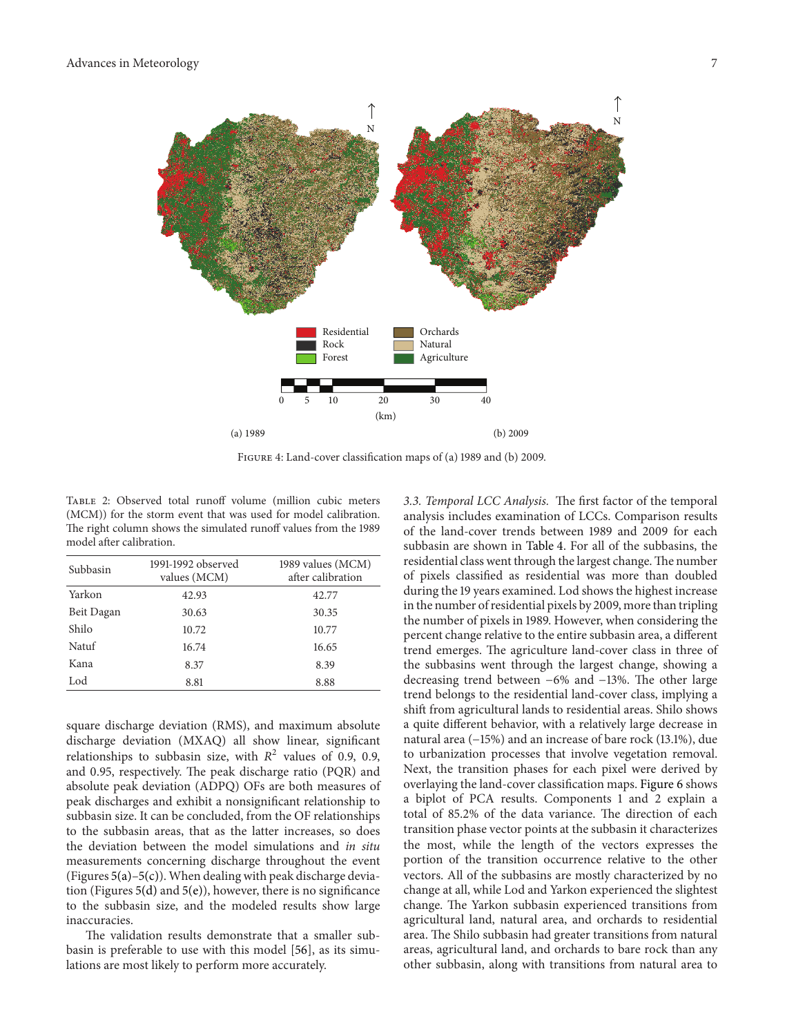

Figure 4: Land-cover classification maps of (a) 1989 and (b) 2009.

Table 2: Observed total runoff volume (million cubic meters (MCM)) for the storm event that was used for model calibration. The right column shows the simulated runoff values from the 1989 model after calibration.

| Subbasin   | 1991-1992 observed<br>values (MCM) | 1989 values (MCM)<br>after calibration |
|------------|------------------------------------|----------------------------------------|
| Yarkon     | 42.93                              | 42.77                                  |
| Beit Dagan | 30.63                              | 30.35                                  |
| Shilo      | 10.72                              | 10.77                                  |
| Natuf      | 16.74                              | 16.65                                  |
| Kana       | 8.37                               | 8.39                                   |
| Lod        | 8.81                               | 8.88                                   |
|            |                                    |                                        |

square discharge deviation (RMS), and maximum absolute discharge deviation (MXAQ) all show linear, significant relationships to subbasin size, with  $R^2$  values of 0.9, 0.9, and 0.95, respectively. The peak discharge ratio (PQR) and absolute peak deviation (ADPQ) OFs are both measures of peak discharges and exhibit a nonsignificant relationship to subbasin size. It can be concluded, from the OF relationships to the subbasin areas, that as the latter increases, so does the deviation between the model simulations and *in situ* measurements concerning discharge throughout the event (Figures  $5(a)$ – $5(c)$ ). When dealing with peak discharge deviation (Figures  $5(d)$  and  $5(e)$ ), however, there is no significance to the subbasin size, and the modeled results show large inaccuracies.

The validation results demonstrate that a smaller subbasin is preferable to use with this model [56], as its simulations are most likely to perform more accurately.

*3.3. Temporal LCC Analysis.* The first factor of the temporal analysis includes examination of LCCs. Comparison results of the land-cover trends between 1989 and 2009 for each subbasin are shown in Table 4. For all of the subbasins, the residential class went through the largest change. The number of pixels classified as residential was more than doubled during the 19 years examined. Lod shows the highest increase in the number of residential pixels by 2009, more than tripling the number of pixels in 1989. However, when considering the percent change relative to the entire subbasin area, a different trend emerges. The agriculture land-cover class in three of the subbasins went through the largest change, showing a decreasing trend between −6% and −13%. The other large trend belongs to the residential land-cover class, implying a shift from agricultural lands to residential areas. Shilo shows a quite different behavior, with a relatively large decrease in natural area (−15%) and an increase of bare rock (13.1%), due to urbanization processes that involve vegetation removal. Next, the transition phases for each pixel were derived by overlaying the land-cover classification maps. Figure 6 shows a biplot of PCA results. Components 1 and 2 explain a total of 85.2% of the data variance. The direction of each transition phase vector points at the subbasin it characterizes the most, while the length of the vectors expresses the portion of the transition occurrence relative to the other vectors. All of the subbasins are mostly characterized by no change at all, while Lod and Yarkon experienced the slightest change. The Yarkon subbasin experienced transitions from agricultural land, natural area, and orchards to residential area. The Shilo subbasin had greater transitions from natural areas, agricultural land, and orchards to bare rock than any other subbasin, along with transitions from natural area to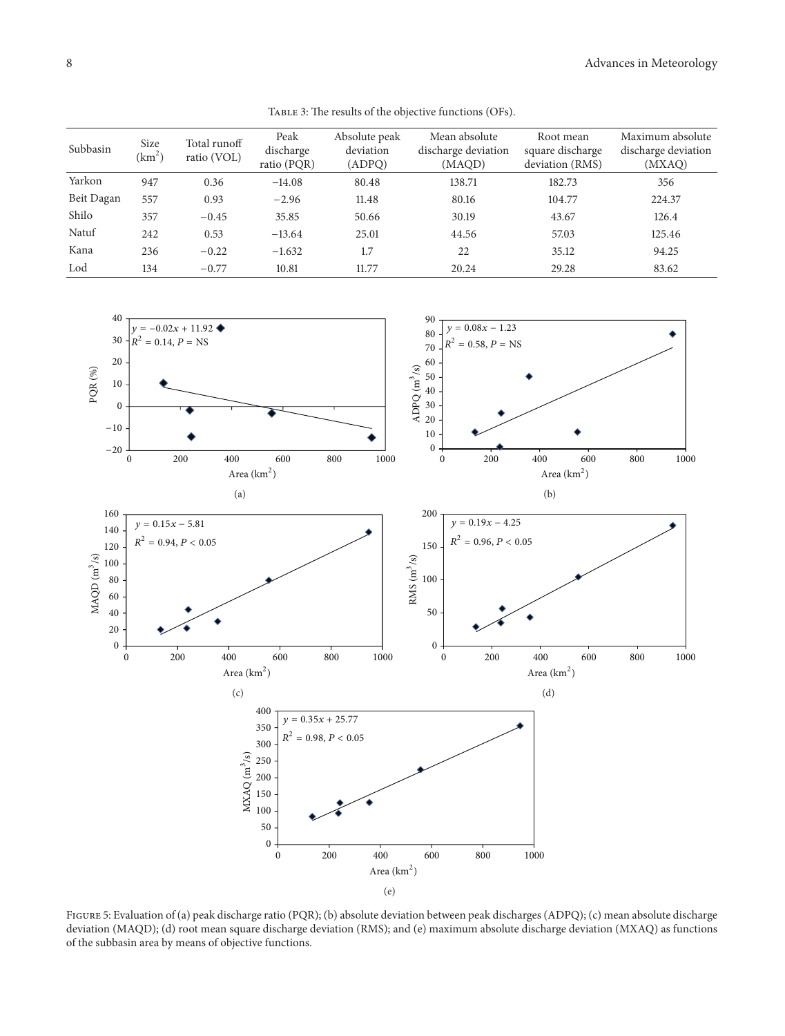| Subbasin   | Size<br>$(km^2)$ | Total runoff<br>ratio (VOL) | Peak<br>discharge<br>ratio (PQR) | Absolute peak<br>deviation<br>(ADPQ) | Mean absolute<br>discharge deviation<br>(MAQD) | Root mean<br>square discharge<br>deviation (RMS) | Maximum absolute<br>discharge deviation<br>(MXAQ) |
|------------|------------------|-----------------------------|----------------------------------|--------------------------------------|------------------------------------------------|--------------------------------------------------|---------------------------------------------------|
| Yarkon     | 947              | 0.36                        | $-14.08$                         | 80.48                                | 138.71                                         | 182.73                                           | 356                                               |
| Beit Dagan | 557              | 0.93                        | $-2.96$                          | 11.48                                | 80.16                                          | 104.77                                           | 224.37                                            |
| Shilo      | 357              | $-0.45$                     | 35.85                            | 50.66                                | 30.19                                          | 43.67                                            | 126.4                                             |
| Natuf      | 242              | 0.53                        | $-13.64$                         | 25.01                                | 44.56                                          | 57.03                                            | 125.46                                            |
| Kana       | 236              | $-0.22$                     | $-1.632$                         | 1.7                                  | 22                                             | 35.12                                            | 94.25                                             |
| Lod        | 134              | $-0.77$                     | 10.81                            | 11.77                                | 20.24                                          | 29.28                                            | 83.62                                             |

40 90  $y = -0.02x + 11.92$  $y = 0.08x - 1.23$ 80 30  $R^2 = 0.14, P = NS$  $R^2 = 0.58, P = NS$ 70 20 60  $ADPQ(m<sup>3</sup>/s)$ PQR (%)  $APPQ(m<sup>3</sup>/s)$ 50 10 40 30 0 20 −10 10 0 −20 0 200 400 600 800 1000 0 200 400 600 800 1000 Area  $(km^2)$ Area  $(km<sup>2</sup>)$ (a) (b) 160 200  $y = 0.19x - 4.25$  $y = 0.15x - 5.81$ 140  $R^2 = 0.96, P < 0.05$  $R^2 = 0.94, P < 0.05$ 150 120  $MAQD(m<sup>3</sup>/s)$ RMS  $(m^3/s)$  $MAQD(m<sup>3</sup>/s)$ 100 80 100 60 40 50 20  $\boldsymbol{0}$ 0 0 200 400 600 800 1000 0 200 400 600 800 1000 Area  $(km^2)$ Area  $(km<sup>2</sup>)$ (d) (c) 400  $y = 0.35x + 25.77$ 350  $R^2 = 0.98, P < 0.05$ 300  $MXAQ$   $(m<sup>3</sup>/s)$ 250 200 150 100 50  $\boldsymbol{0}$ 0 200 400 600 800 1000 Area  $(km<sup>2</sup>)$ 



Figure 5: Evaluation of (a) peak discharge ratio (PQR); (b) absolute deviation between peak discharges (ADPQ); (c) mean absolute discharge deviation (MAQD); (d) root mean square discharge deviation (RMS); and (e) maximum absolute discharge deviation (MXAQ) as functions of the subbasin area by means of objective functions.

TABLE 3: The results of the objective functions (OFs).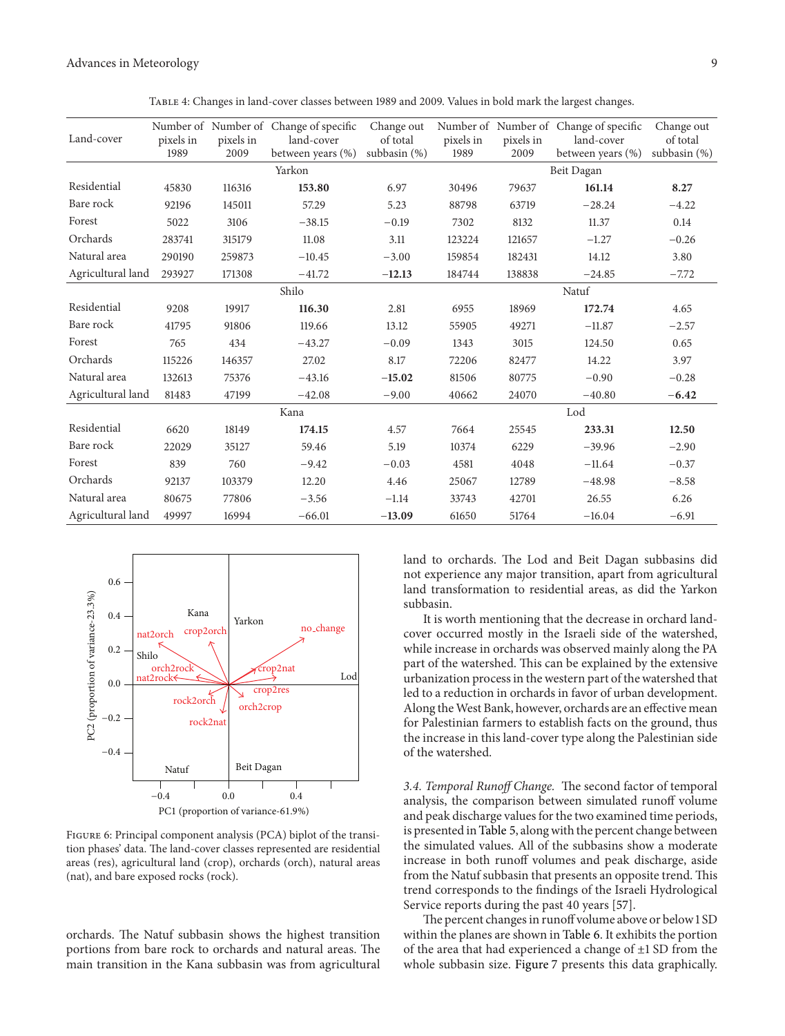| TABLE 4: Changes in land-cover classes between 1989 and 2009. Values in bold mark the largest changes. |  |  |  |
|--------------------------------------------------------------------------------------------------------|--|--|--|
|                                                                                                        |  |  |  |

| Land-cover        | pixels in<br>1989 | pixels in<br>2009 | Number of Number of Change of specific<br>land-cover<br>between years (%) | Change out<br>of total<br>subbasin $(\%)$ | pixels in<br>1989 | pixels in<br>2009 | Number of Number of Change of specific<br>land-cover<br>between years (%) | Change out<br>of total<br>subbasin $(\%)$ |
|-------------------|-------------------|-------------------|---------------------------------------------------------------------------|-------------------------------------------|-------------------|-------------------|---------------------------------------------------------------------------|-------------------------------------------|
|                   |                   |                   | Yarkon                                                                    |                                           |                   |                   | Beit Dagan                                                                |                                           |
| Residential       | 45830             | 116316            | 153.80                                                                    | 6.97                                      | 30496             | 79637             | 161.14                                                                    | 8.27                                      |
| Bare rock         | 92196             | 145011            | 57.29                                                                     | 5.23                                      | 88798             | 63719             | $-28.24$                                                                  | $-4.22$                                   |
| Forest            | 5022              | 3106              | $-38.15$                                                                  | $-0.19$                                   | 7302              | 8132              | 11.37                                                                     | 0.14                                      |
| Orchards          | 283741            | 315179            | 11.08                                                                     | 3.11                                      | 123224            | 121657            | $-1.27$                                                                   | $-0.26$                                   |
| Natural area      | 290190            | 259873            | $-10.45$                                                                  | $-3.00$                                   | 159854            | 182431            | 14.12                                                                     | 3.80                                      |
| Agricultural land | 293927            | 171308            | $-41.72$                                                                  | $-12.13$                                  | 184744            | 138838            | $-24.85$                                                                  | $-7.72$                                   |
| Shilo<br>Natuf    |                   |                   |                                                                           |                                           |                   |                   |                                                                           |                                           |
| Residential       | 9208              | 19917             | 116.30                                                                    | 2.81                                      | 6955              | 18969             | 172.74                                                                    | 4.65                                      |
| Bare rock         | 41795             | 91806             | 119.66                                                                    | 13.12                                     | 55905             | 49271             | $-11.87$                                                                  | $-2.57$                                   |
| Forest            | 765               | 434               | $-43.27$                                                                  | $-0.09$                                   | 1343              | 3015              | 124.50                                                                    | 0.65                                      |
| Orchards          | 115226            | 146357            | 27.02                                                                     | 8.17                                      | 72206             | 82477             | 14.22                                                                     | 3.97                                      |
| Natural area      | 132613            | 75376             | $-43.16$                                                                  | $-15.02$                                  | 81506             | 80775             | $-0.90$                                                                   | $-0.28$                                   |
| Agricultural land | 81483             | 47199             | $-42.08$                                                                  | $-9.00$                                   | 40662             | 24070             | $-40.80$                                                                  | $-6.42$                                   |
|                   |                   |                   | Kana                                                                      |                                           |                   |                   | Lod                                                                       |                                           |
| Residential       | 6620              | 18149             | 174.15                                                                    | 4.57                                      | 7664              | 25545             | 233.31                                                                    | 12.50                                     |
| Bare rock         | 22029             | 35127             | 59.46                                                                     | 5.19                                      | 10374             | 6229              | $-39.96$                                                                  | $-2.90$                                   |
| Forest            | 839               | 760               | $-9.42$                                                                   | $-0.03$                                   | 4581              | 4048              | $-11.64$                                                                  | $-0.37$                                   |
| Orchards          | 92137             | 103379            | 12.20                                                                     | 4.46                                      | 25067             | 12789             | $-48.98$                                                                  | $-8.58$                                   |
| Natural area      | 80675             | 77806             | $-3.56$                                                                   | $-1.14$                                   | 33743             | 42701             | 26.55                                                                     | 6.26                                      |
| Agricultural land | 49997             | 16994             | $-66.01$                                                                  | $-13.09$                                  | 61650             | 51764             | $-16.04$                                                                  | $-6.91$                                   |



Figure 6: Principal component analysis (PCA) biplot of the transition phases' data. The land-cover classes represented are residential areas (res), agricultural land (crop), orchards (orch), natural areas (nat), and bare exposed rocks (rock).

orchards. The Natuf subbasin shows the highest transition portions from bare rock to orchards and natural areas. The main transition in the Kana subbasin was from agricultural land to orchards. The Lod and Beit Dagan subbasins did not experience any major transition, apart from agricultural land transformation to residential areas, as did the Yarkon subbasin.

It is worth mentioning that the decrease in orchard landcover occurred mostly in the Israeli side of the watershed, while increase in orchards was observed mainly along the PA part of the watershed. This can be explained by the extensive urbanization process in the western part of the watershed that led to a reduction in orchards in favor of urban development. Along the West Bank, however, orchards are an effective mean for Palestinian farmers to establish facts on the ground, thus the increase in this land-cover type along the Palestinian side of the watershed.

*3.4. Temporal Runoff Change.* The second factor of temporal analysis, the comparison between simulated runoff volume and peak discharge values for the two examined time periods, is presented inTable 5, along with the percent change between the simulated values. All of the subbasins show a moderate increase in both runoff volumes and peak discharge, aside from the Natuf subbasin that presents an opposite trend. This trend corresponds to the findings of the Israeli Hydrological Service reports during the past 40 years [57].

The percent changes in runoff volume above or below 1 SD within the planes are shown in Table 6. It exhibits the portion of the area that had experienced a change of  $\pm 1$  SD from the whole subbasin size. Figure 7 presents this data graphically.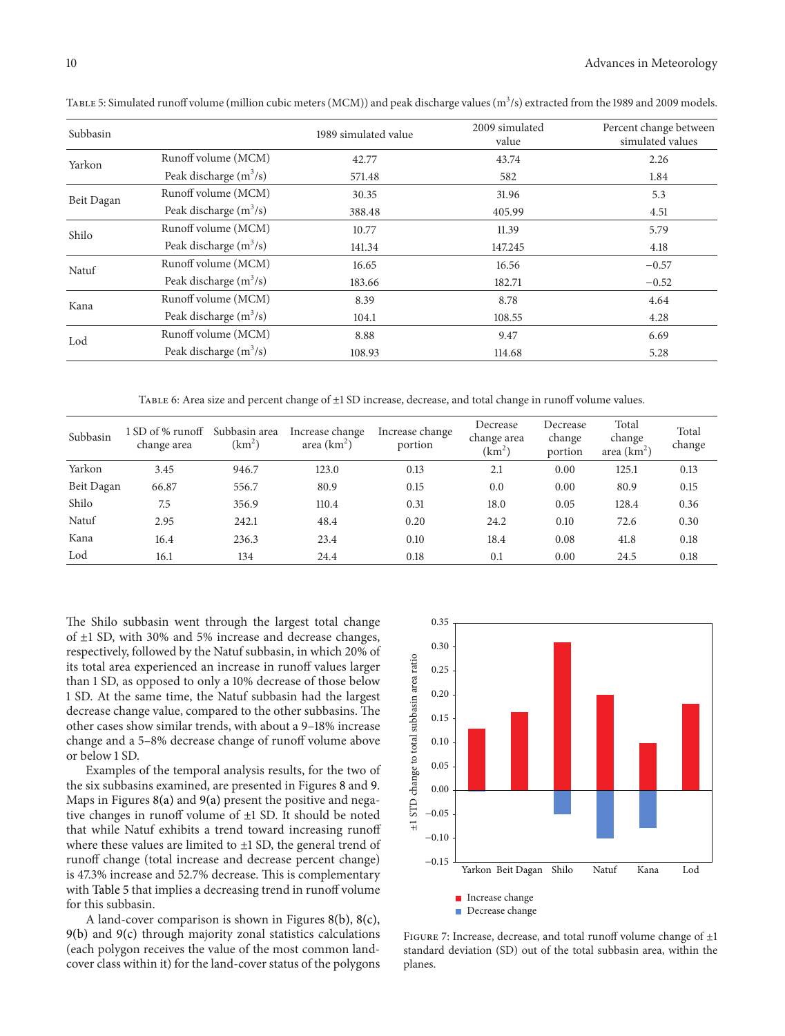10 Advances in Meteorology

| Subbasin   |                          | 1989 simulated value | 2009 simulated<br>value | Percent change between<br>simulated values |
|------------|--------------------------|----------------------|-------------------------|--------------------------------------------|
| Yarkon     | Runoff volume (MCM)      | 42.77                | 43.74                   | 2.26                                       |
|            | Peak discharge $(m^3/s)$ | 571.48               | 582                     | 1.84                                       |
| Beit Dagan | Runoff volume (MCM)      | 30.35                | 31.96                   | 5.3                                        |
|            | Peak discharge $(m^3/s)$ | 388.48               | 405.99                  | 4.51                                       |
| Shilo      | Runoff volume (MCM)      | 10.77                | 11.39                   | 5.79                                       |
|            | Peak discharge $(m^3/s)$ | 141.34               | 147.245                 | 4.18                                       |
| Natuf      | Runoff volume (MCM)      | 16.65                | 16.56                   | $-0.57$                                    |
|            | Peak discharge $(m^3/s)$ | 183.66               | 182.71                  | $-0.52$                                    |
| Kana       | Runoff volume (MCM)      | 8.39                 | 8.78                    | 4.64                                       |
|            | Peak discharge $(m^3/s)$ | 104.1                | 108.55                  | 4.28                                       |
| Lod        | Runoff volume (MCM)      | 8.88                 | 9.47                    | 6.69                                       |
|            | Peak discharge $(m^3/s)$ | 108.93               | 114.68                  | 5.28                                       |

TABLE 5: Simulated runoff volume (million cubic meters (MCM)) and peak discharge values (m $^3$ /s) extracted from the 1989 and 2009 models.

Table 6: Area size and percent change of ±1 SD increase, decrease, and total change in runoff volume values.

| Subbasin   | 1 SD of % runoff<br>change area | Subbasin area<br>(km <sup>2</sup> ) | Increase change<br>area $(km^2)$ | Increase change<br>portion | Decrease<br>change area<br>$(km^2)$ | Decrease<br>change<br>portion | Total<br>change<br>area $(km^2)$ | Total<br>change |
|------------|---------------------------------|-------------------------------------|----------------------------------|----------------------------|-------------------------------------|-------------------------------|----------------------------------|-----------------|
| Yarkon     | 3.45                            | 946.7                               | 123.0                            | 0.13                       | 2.1                                 | 0.00                          | 125.1                            | 0.13            |
| Beit Dagan | 66.87                           | 556.7                               | 80.9                             | 0.15                       | 0.0                                 | 0.00                          | 80.9                             | 0.15            |
| Shilo      | 7.5                             | 356.9                               | 110.4                            | 0.31                       | 18.0                                | 0.05                          | 128.4                            | 0.36            |
| Natuf      | 2.95                            | 242.1                               | 48.4                             | 0.20                       | 24.2                                | 0.10                          | 72.6                             | 0.30            |
| Kana       | 16.4                            | 236.3                               | 23.4                             | 0.10                       | 18.4                                | 0.08                          | 41.8                             | 0.18            |
| Lod        | 16.1                            | 134                                 | 24.4                             | 0.18                       | 0.1                                 | 0.00                          | 24.5                             | 0.18            |

The Shilo subbasin went through the largest total change of ±1 SD, with 30% and 5% increase and decrease changes, respectively, followed by the Natuf subbasin, in which 20% of its total area experienced an increase in runoff values larger than 1 SD, as opposed to only a 10% decrease of those below 1 SD. At the same time, the Natuf subbasin had the largest decrease change value, compared to the other subbasins. The other cases show similar trends, with about a 9–18% increase change and a 5–8% decrease change of runoff volume above or below 1 SD.

Examples of the temporal analysis results, for the two of the six subbasins examined, are presented in Figures 8 and 9. Maps in Figures 8(a) and 9(a) present the positive and negative changes in runoff volume of ±1 SD. It should be noted that while Natuf exhibits a trend toward increasing runoff where these values are limited to  $\pm 1$  SD, the general trend of runoff change (total increase and decrease percent change) is 47.3% increase and 52.7% decrease. This is complementary with Table 5 that implies a decreasing trend in runoff volume for this subbasin.

A land-cover comparison is shown in Figures 8(b), 8(c), 9(b) and 9(c) through majority zonal statistics calculations (each polygon receives the value of the most common landcover class within it) for the land-cover status of the polygons



Figure 7: Increase, decrease, and total runoff volume change of ±1 standard deviation (SD) out of the total subbasin area, within the planes.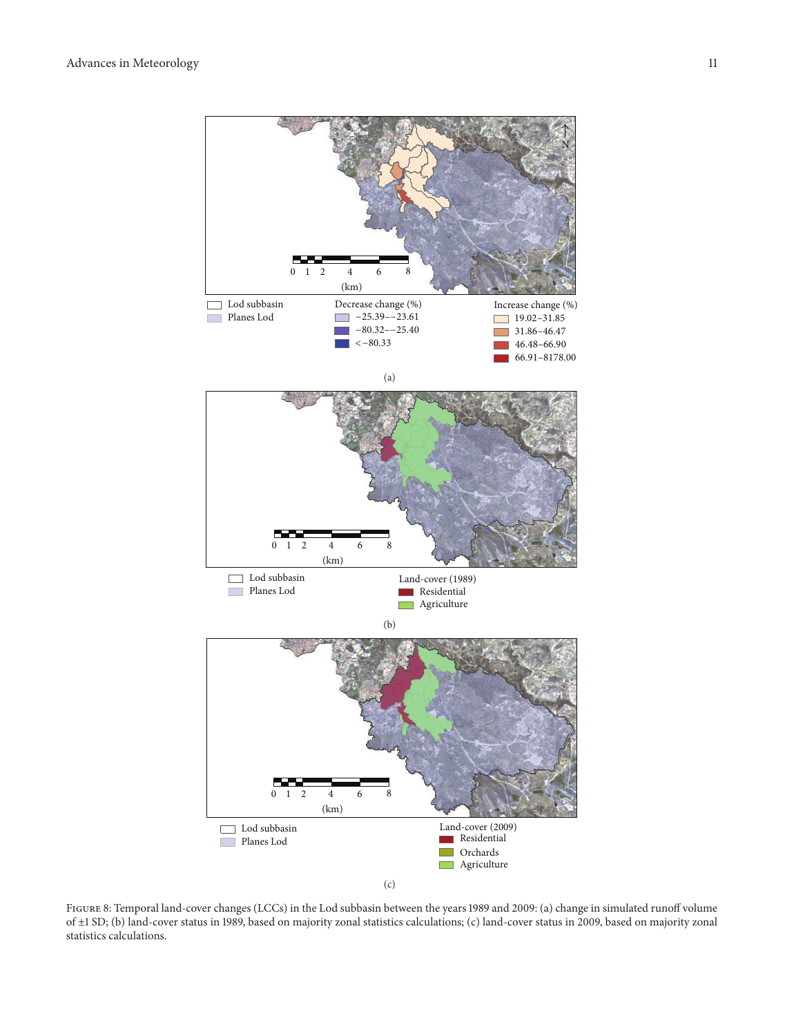

(c)

Figure 8: Temporal land-cover changes (LCCs) in the Lod subbasin between the years 1989 and 2009: (a) change in simulated runoff volume of ±1 SD; (b) land-cover status in 1989, based on majority zonal statistics calculations; (c) land-cover status in 2009, based on majority zonal statistics calculations.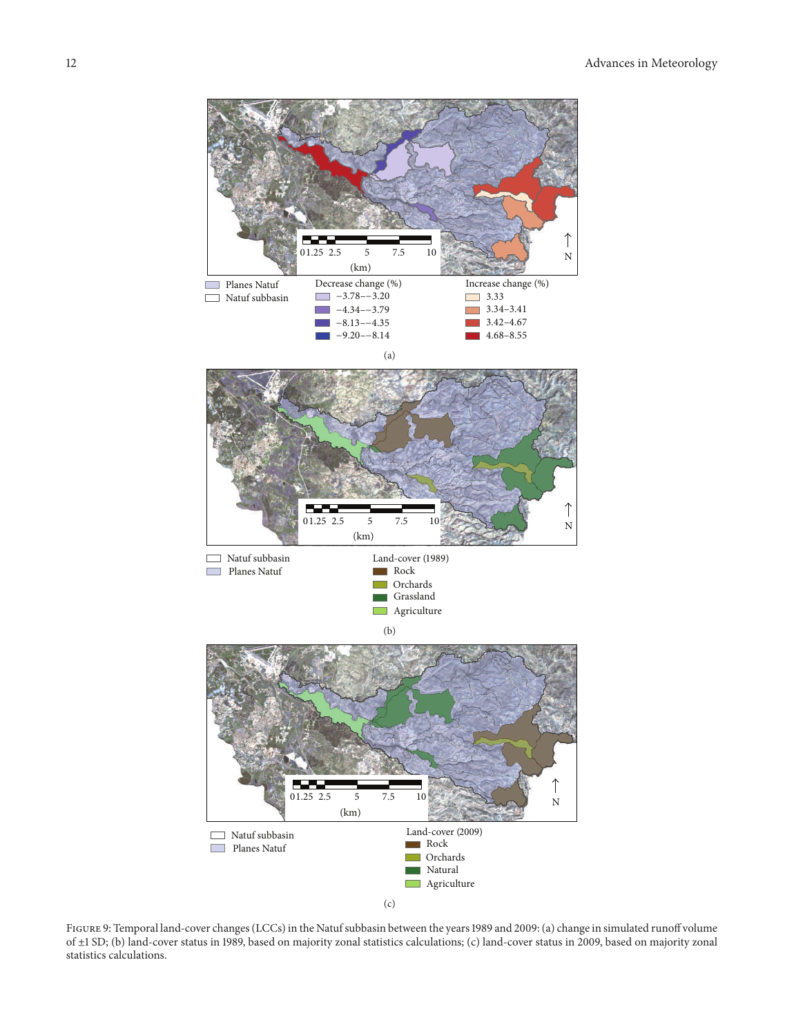

Figure 9: Temporal land-cover changes (LCCs) in the Natuf subbasin between the years 1989 and 2009: (a) change in simulated runoff volume of ±1 SD; (b) land-cover status in 1989, based on majority zonal statistics calculations; (c) land-cover status in 2009, based on majority zonal statistics calculations.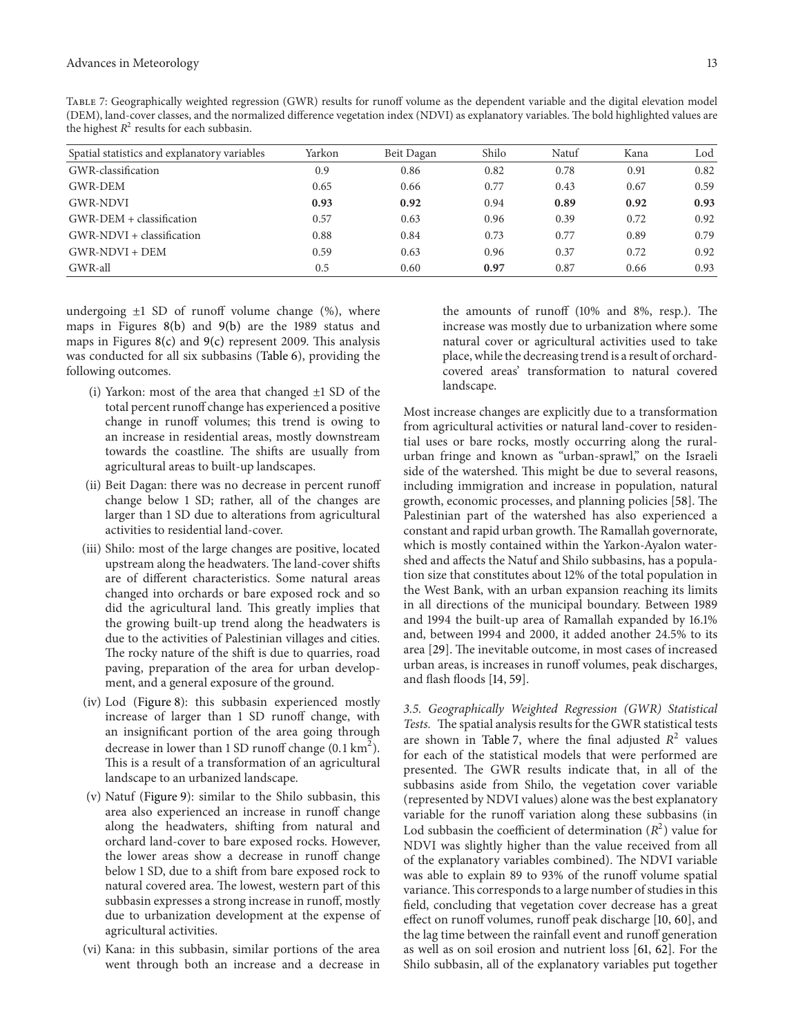Table 7: Geographically weighted regression (GWR) results for runoff volume as the dependent variable and the digital elevation model (DEM), land-cover classes, and the normalized difference vegetation index (NDVI) as explanatory variables. The bold highlighted values are the highest  $R^2$  results for each subbasin.

| Spatial statistics and explanatory variables | Yarkon | Beit Dagan | Shilo | Natuf | Kana | $_{\rm Lod}$ |
|----------------------------------------------|--------|------------|-------|-------|------|--------------|
| GWR-classification                           | 0.9    | 0.86       | 0.82  | 0.78  | 0.91 | 0.82         |
| <b>GWR-DEM</b>                               | 0.65   | 0.66       | 0.77  | 0.43  | 0.67 | 0.59         |
| <b>GWR-NDVI</b>                              | 0.93   | 0.92       | 0.94  | 0.89  | 0.92 | 0.93         |
| $GWR-DEM + classification$                   | 0.57   | 0.63       | 0.96  | 0.39  | 0.72 | 0.92         |
| $GWR-NDVI + classification$                  | 0.88   | 0.84       | 0.73  | 0.77  | 0.89 | 0.79         |
| GWR-NDVI + DEM                               | 0.59   | 0.63       | 0.96  | 0.37  | 0.72 | 0.92         |
| GWR-all                                      | 0.5    | 0.60       | 0.97  | 0.87  | 0.66 | 0.93         |

undergoing  $\pm 1$  SD of runoff volume change (%), where maps in Figures 8(b) and 9(b) are the 1989 status and maps in Figures  $8(c)$  and  $9(c)$  represent 2009. This analysis was conducted for all six subbasins (Table 6), providing the following outcomes.

- (i) Yarkon: most of the area that changed  $\pm 1$  SD of the total percent runoff change has experienced a positive change in runoff volumes; this trend is owing to an increase in residential areas, mostly downstream towards the coastline. The shifts are usually from agricultural areas to built-up landscapes.
- (ii) Beit Dagan: there was no decrease in percent runoff change below 1 SD; rather, all of the changes are larger than 1 SD due to alterations from agricultural activities to residential land-cover.
- (iii) Shilo: most of the large changes are positive, located upstream along the headwaters. The land-cover shifts are of different characteristics. Some natural areas changed into orchards or bare exposed rock and so did the agricultural land. This greatly implies that the growing built-up trend along the headwaters is due to the activities of Palestinian villages and cities. The rocky nature of the shift is due to quarries, road paving, preparation of the area for urban development, and a general exposure of the ground.
- (iv) Lod (Figure 8): this subbasin experienced mostly increase of larger than 1 SD runoff change, with an insignificant portion of the area going through decrease in lower than 1 SD runoff change  $(0.1 \text{ km}^2)$ . This is a result of a transformation of an agricultural landscape to an urbanized landscape.
- (v) Natuf (Figure 9): similar to the Shilo subbasin, this area also experienced an increase in runoff change along the headwaters, shifting from natural and orchard land-cover to bare exposed rocks. However, the lower areas show a decrease in runoff change below 1 SD, due to a shift from bare exposed rock to natural covered area. The lowest, western part of this subbasin expresses a strong increase in runoff, mostly due to urbanization development at the expense of agricultural activities.
- (vi) Kana: in this subbasin, similar portions of the area went through both an increase and a decrease in

the amounts of runoff (10% and 8%, resp.). The increase was mostly due to urbanization where some natural cover or agricultural activities used to take place, while the decreasing trend is a result of orchardcovered areas' transformation to natural covered landscape.

Most increase changes are explicitly due to a transformation from agricultural activities or natural land-cover to residential uses or bare rocks, mostly occurring along the ruralurban fringe and known as "urban-sprawl," on the Israeli side of the watershed. This might be due to several reasons, including immigration and increase in population, natural growth, economic processes, and planning policies [58]. The Palestinian part of the watershed has also experienced a constant and rapid urban growth. The Ramallah governorate, which is mostly contained within the Yarkon-Ayalon watershed and affects the Natuf and Shilo subbasins, has a population size that constitutes about 12% of the total population in the West Bank, with an urban expansion reaching its limits in all directions of the municipal boundary. Between 1989 and 1994 the built-up area of Ramallah expanded by 16.1% and, between 1994 and 2000, it added another 24.5% to its area [29]. The inevitable outcome, in most cases of increased urban areas, is increases in runoff volumes, peak discharges, and flash floods [14, 59].

*3.5. Geographically Weighted Regression (GWR) Statistical Tests.* The spatial analysis results for the GWR statistical tests are shown in Table 7, where the final adjusted  $R^2$  values for each of the statistical models that were performed are presented. The GWR results indicate that, in all of the subbasins aside from Shilo, the vegetation cover variable (represented by NDVI values) alone was the best explanatory variable for the runoff variation along these subbasins (in Lod subbasin the coefficient of determination  $(R^2)$  value for NDVI was slightly higher than the value received from all of the explanatory variables combined). The NDVI variable was able to explain 89 to 93% of the runoff volume spatial variance.This corresponds to a large number of studies in this field, concluding that vegetation cover decrease has a great effect on runoff volumes, runoff peak discharge [10, 60], and the lag time between the rainfall event and runoff generation as well as on soil erosion and nutrient loss [61, 62]. For the Shilo subbasin, all of the explanatory variables put together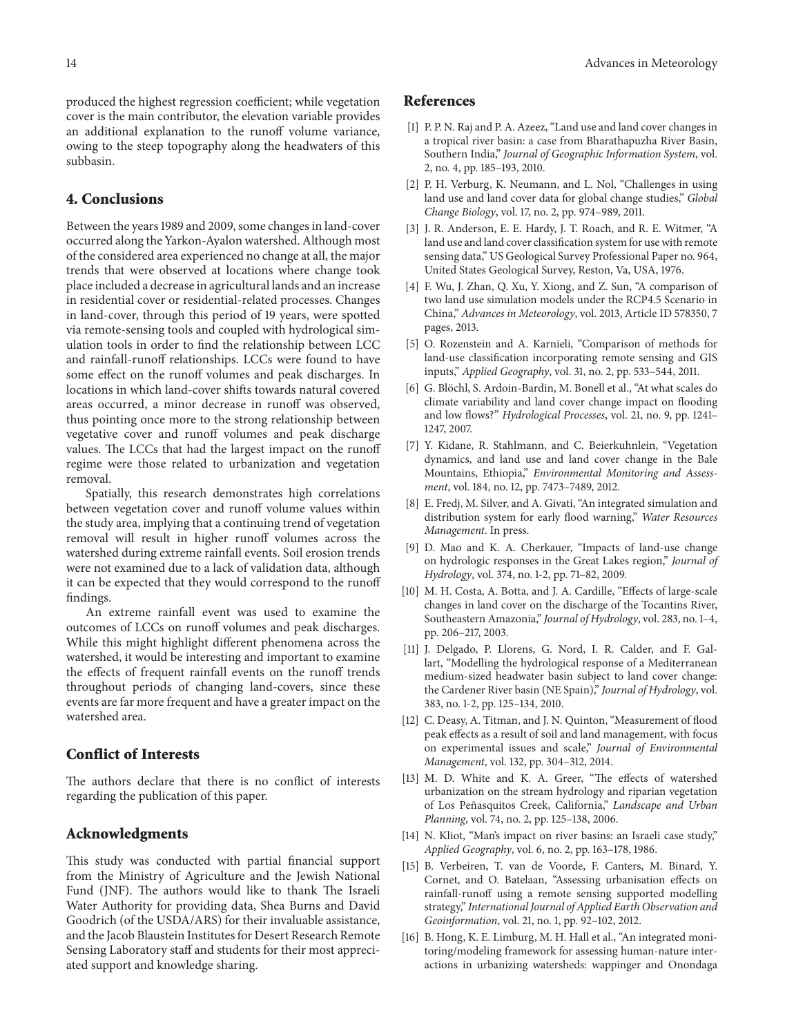produced the highest regression coefficient; while vegetation cover is the main contributor, the elevation variable provides an additional explanation to the runoff volume variance, owing to the steep topography along the headwaters of this subbasin.

#### **4. Conclusions**

Between the years 1989 and 2009, some changes in land-cover occurred along the Yarkon-Ayalon watershed. Although most of the considered area experienced no change at all, the major trends that were observed at locations where change took place included a decrease in agricultural lands and an increase in residential cover or residential-related processes. Changes in land-cover, through this period of 19 years, were spotted via remote-sensing tools and coupled with hydrological simulation tools in order to find the relationship between LCC and rainfall-runoff relationships. LCCs were found to have some effect on the runoff volumes and peak discharges. In locations in which land-cover shifts towards natural covered areas occurred, a minor decrease in runoff was observed, thus pointing once more to the strong relationship between vegetative cover and runoff volumes and peak discharge values. The LCCs that had the largest impact on the runoff regime were those related to urbanization and vegetation removal.

Spatially, this research demonstrates high correlations between vegetation cover and runoff volume values within the study area, implying that a continuing trend of vegetation removal will result in higher runoff volumes across the watershed during extreme rainfall events. Soil erosion trends were not examined due to a lack of validation data, although it can be expected that they would correspond to the runoff findings.

An extreme rainfall event was used to examine the outcomes of LCCs on runoff volumes and peak discharges. While this might highlight different phenomena across the watershed, it would be interesting and important to examine the effects of frequent rainfall events on the runoff trends throughout periods of changing land-covers, since these events are far more frequent and have a greater impact on the watershed area.

#### **Conflict of Interests**

The authors declare that there is no conflict of interests regarding the publication of this paper.

#### **Acknowledgments**

This study was conducted with partial financial support from the Ministry of Agriculture and the Jewish National Fund (JNF). The authors would like to thank The Israeli Water Authority for providing data, Shea Burns and David Goodrich (of the USDA/ARS) for their invaluable assistance, and the Jacob Blaustein Institutes for Desert Research Remote Sensing Laboratory staff and students for their most appreciated support and knowledge sharing.

#### **References**

- [1] P. P. N. Raj and P. A. Azeez, "Land use and land cover changes in a tropical river basin: a case from Bharathapuzha River Basin, Southern India," *Journal of Geographic Information System*, vol. 2, no. 4, pp. 185–193, 2010.
- [2] P. H. Verburg, K. Neumann, and L. Nol, "Challenges in using land use and land cover data for global change studies," *Global Change Biology*, vol. 17, no. 2, pp. 974–989, 2011.
- [3] J. R. Anderson, E. E. Hardy, J. T. Roach, and R. E. Witmer, "A land use and land cover classification system for use with remote sensing data," US Geological Survey Professional Paper no. 964, United States Geological Survey, Reston, Va, USA, 1976.
- [4] F. Wu, J. Zhan, Q. Xu, Y. Xiong, and Z. Sun, "A comparison of two land use simulation models under the RCP4.5 Scenario in China," *Advances in Meteorology*, vol. 2013, Article ID 578350, 7 pages, 2013.
- [5] O. Rozenstein and A. Karnieli, "Comparison of methods for land-use classification incorporating remote sensing and GIS inputs," *Applied Geography*, vol. 31, no. 2, pp. 533–544, 2011.
- [6] G. Blöchl, S. Ardoin-Bardin, M. Bonell et al., "At what scales do climate variability and land cover change impact on flooding and low flows?" *Hydrological Processes*, vol. 21, no. 9, pp. 1241– 1247, 2007.
- [7] Y. Kidane, R. Stahlmann, and C. Beierkuhnlein, "Vegetation dynamics, and land use and land cover change in the Bale Mountains, Ethiopia," *Environmental Monitoring and Assessment*, vol. 184, no. 12, pp. 7473–7489, 2012.
- [8] E. Fredj, M. Silver, and A. Givati, "An integrated simulation and distribution system for early flood warning," *Water Resources Management*. In press.
- [9] D. Mao and K. A. Cherkauer, "Impacts of land-use change on hydrologic responses in the Great Lakes region," *Journal of Hydrology*, vol. 374, no. 1-2, pp. 71–82, 2009.
- [10] M. H. Costa, A. Botta, and J. A. Cardille, "Effects of large-scale changes in land cover on the discharge of the Tocantins River, Southeastern Amazonia," *Journal of Hydrology*, vol. 283, no. 1–4, pp. 206–217, 2003.
- [11] J. Delgado, P. Llorens, G. Nord, I. R. Calder, and F. Gallart, "Modelling the hydrological response of a Mediterranean medium-sized headwater basin subject to land cover change: the Cardener River basin (NE Spain)," *Journal of Hydrology*, vol. 383, no. 1-2, pp. 125–134, 2010.
- [12] C. Deasy, A. Titman, and J. N. Quinton, "Measurement of flood peak effects as a result of soil and land management, with focus on experimental issues and scale," *Journal of Environmental Management*, vol. 132, pp. 304–312, 2014.
- [13] M. D. White and K. A. Greer, "The effects of watershed urbanization on the stream hydrology and riparian vegetation of Los Peñasquitos Creek, California," Landscape and Urban *Planning*, vol. 74, no. 2, pp. 125–138, 2006.
- [14] N. Kliot, "Man's impact on river basins: an Israeli case study," *Applied Geography*, vol. 6, no. 2, pp. 163–178, 1986.
- [15] B. Verbeiren, T. van de Voorde, F. Canters, M. Binard, Y. Cornet, and O. Batelaan, "Assessing urbanisation effects on rainfall-runoff using a remote sensing supported modelling strategy," *International Journal of Applied Earth Observation and Geoinformation*, vol. 21, no. 1, pp. 92–102, 2012.
- [16] B. Hong, K. E. Limburg, M. H. Hall et al., "An integrated monitoring/modeling framework for assessing human-nature interactions in urbanizing watersheds: wappinger and Onondaga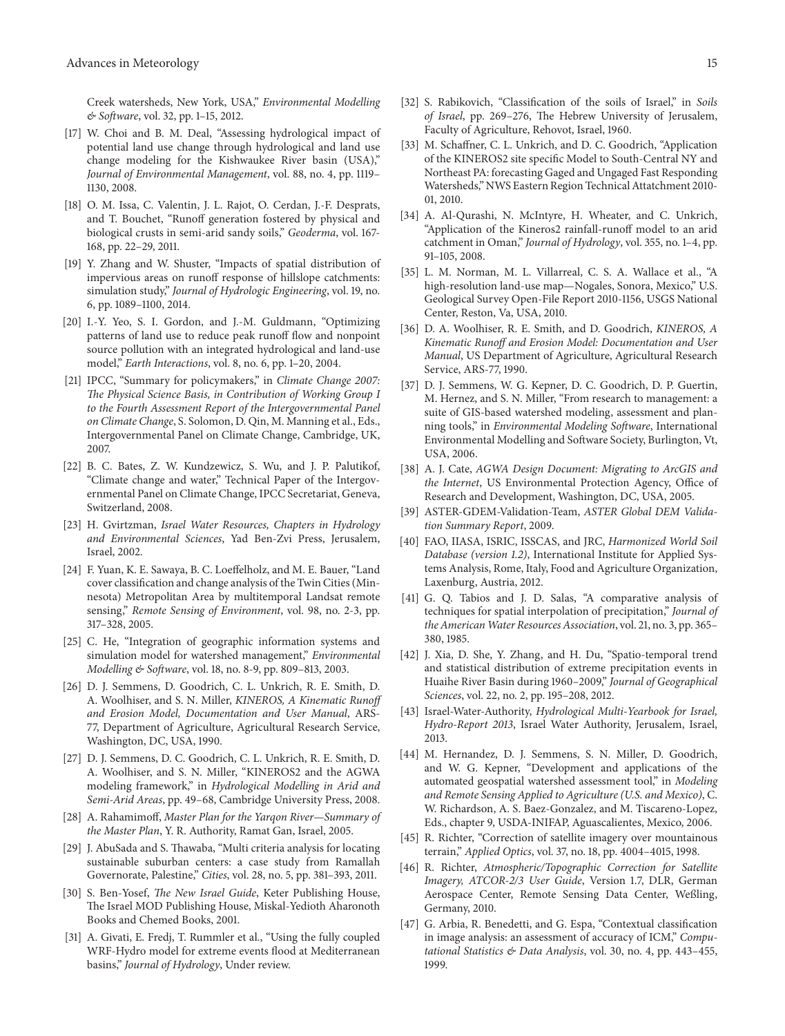Creek watersheds, New York, USA," *Environmental Modelling & Software*, vol. 32, pp. 1–15, 2012.

- [17] W. Choi and B. M. Deal, "Assessing hydrological impact of potential land use change through hydrological and land use change modeling for the Kishwaukee River basin (USA)," *Journal of Environmental Management*, vol. 88, no. 4, pp. 1119– 1130, 2008.
- [18] O. M. Issa, C. Valentin, J. L. Rajot, O. Cerdan, J.-F. Desprats, and T. Bouchet, "Runoff generation fostered by physical and biological crusts in semi-arid sandy soils," *Geoderma*, vol. 167- 168, pp. 22–29, 2011.
- [19] Y. Zhang and W. Shuster, "Impacts of spatial distribution of impervious areas on runoff response of hillslope catchments: simulation study," *Journal of Hydrologic Engineering*, vol. 19, no. 6, pp. 1089–1100, 2014.
- [20] I.-Y. Yeo, S. I. Gordon, and J.-M. Guldmann, "Optimizing patterns of land use to reduce peak runoff flow and nonpoint source pollution with an integrated hydrological and land-use model," *Earth Interactions*, vol. 8, no. 6, pp. 1–20, 2004.
- [21] IPCC, "Summary for policymakers," in *Climate Change 2007: The Physical Science Basis, in Contribution of Working Group I to the Fourth Assessment Report of the Intergovernmental Panel on Climate Change*, S. Solomon, D. Qin, M. Manning et al., Eds., Intergovernmental Panel on Climate Change, Cambridge, UK, 2007.
- [22] B. C. Bates, Z. W. Kundzewicz, S. Wu, and J. P. Palutikof, "Climate change and water," Technical Paper of the Intergovernmental Panel on Climate Change, IPCC Secretariat, Geneva, Switzerland, 2008.
- [23] H. Gvirtzman, *Israel Water Resources, Chapters in Hydrology and Environmental Sciences*, Yad Ben-Zvi Press, Jerusalem, Israel, 2002.
- [24] F. Yuan, K. E. Sawaya, B. C. Loeffelholz, and M. E. Bauer, "Land cover classification and change analysis of the Twin Cities (Minnesota) Metropolitan Area by multitemporal Landsat remote sensing," *Remote Sensing of Environment*, vol. 98, no. 2-3, pp. 317–328, 2005.
- [25] C. He, "Integration of geographic information systems and simulation model for watershed management," *Environmental Modelling & Software*, vol. 18, no. 8-9, pp. 809–813, 2003.
- [26] D. J. Semmens, D. Goodrich, C. L. Unkrich, R. E. Smith, D. A. Woolhiser, and S. N. Miller, *KINEROS, A Kinematic Runoff and Erosion Model, Documentation and User Manual*, ARS-77, Department of Agriculture, Agricultural Research Service, Washington, DC, USA, 1990.
- [27] D. J. Semmens, D. C. Goodrich, C. L. Unkrich, R. E. Smith, D. A. Woolhiser, and S. N. Miller, "KINEROS2 and the AGWA modeling framework," in *Hydrological Modelling in Arid and Semi-Arid Areas*, pp. 49–68, Cambridge University Press, 2008.
- [28] A. Rahamimoff, *Master Plan for the Yarqon River—Summary of the Master Plan*, Y. R. Authority, Ramat Gan, Israel, 2005.
- [29] J. AbuSada and S. Thawaba, "Multi criteria analysis for locating sustainable suburban centers: a case study from Ramallah Governorate, Palestine," *Cities*, vol. 28, no. 5, pp. 381–393, 2011.
- [30] S. Ben-Yosef, *The New Israel Guide*, Keter Publishing House, The Israel MOD Publishing House, Miskal-Yedioth Aharonoth Books and Chemed Books, 2001.
- [31] A. Givati, E. Fredj, T. Rummler et al., "Using the fully coupled WRF-Hydro model for extreme events flood at Mediterranean basins," *Journal of Hydrology*, Under review.
- [32] S. Rabikovich, "Classification of the soils of Israel," in *Soils of Israel*, pp. 269–276, The Hebrew University of Jerusalem, Faculty of Agriculture, Rehovot, Israel, 1960.
- [33] M. Schaffner, C. L. Unkrich, and D. C. Goodrich, "Application of the KINEROS2 site specific Model to South-Central NY and Northeast PA: forecasting Gaged and Ungaged Fast Responding Watersheds," NWS Eastern Region Technical Attatchment 2010- 01, 2010.
- [34] A. Al-Qurashi, N. McIntyre, H. Wheater, and C. Unkrich, "Application of the Kineros2 rainfall-runoff model to an arid catchment in Oman," *Journal of Hydrology*, vol. 355, no. 1–4, pp. 91–105, 2008.
- [35] L. M. Norman, M. L. Villarreal, C. S. A. Wallace et al., "A high-resolution land-use map—Nogales, Sonora, Mexico," U.S. Geological Survey Open-File Report 2010-1156, USGS National Center, Reston, Va, USA, 2010.
- [36] D. A. Woolhiser, R. E. Smith, and D. Goodrich, *KINEROS, A Kinematic Runoff and Erosion Model: Documentation and User Manual*, US Department of Agriculture, Agricultural Research Service, ARS-77, 1990.
- [37] D. J. Semmens, W. G. Kepner, D. C. Goodrich, D. P. Guertin, M. Hernez, and S. N. Miller, "From research to management: a suite of GIS-based watershed modeling, assessment and planning tools," in *Environmental Modeling Software*, International Environmental Modelling and Software Society, Burlington, Vt, USA, 2006.
- [38] A. J. Cate, *AGWA Design Document: Migrating to ArcGIS and the Internet*, US Environmental Protection Agency, Office of Research and Development, Washington, DC, USA, 2005.
- [39] ASTER-GDEM-Validation-Team, *ASTER Global DEM Validation Summary Report*, 2009.
- [40] FAO, IIASA, ISRIC, ISSCAS, and JRC, *Harmonized World Soil Database (version 1.2)*, International Institute for Applied Systems Analysis, Rome, Italy, Food and Agriculture Organization, Laxenburg, Austria, 2012.
- [41] G. Q. Tabios and J. D. Salas, "A comparative analysis of techniques for spatial interpolation of precipitation," *Journal of the AmericanWater Resources Association*, vol. 21, no. 3, pp. 365– 380, 1985.
- [42] J. Xia, D. She, Y. Zhang, and H. Du, "Spatio-temporal trend and statistical distribution of extreme precipitation events in Huaihe River Basin during 1960–2009," *Journal of Geographical Sciences*, vol. 22, no. 2, pp. 195–208, 2012.
- [43] Israel-Water-Authority, *Hydrological Multi-Yearbook for Israel, Hydro-Report 2013*, Israel Water Authority, Jerusalem, Israel, 2013.
- [44] M. Hernandez, D. J. Semmens, S. N. Miller, D. Goodrich, and W. G. Kepner, "Development and applications of the automated geospatial watershed assessment tool," in *Modeling and Remote Sensing Applied to Agriculture (U.S. and Mexico)*, C. W. Richardson, A. S. Baez-Gonzalez, and M. Tiscareno-Lopez, Eds., chapter 9, USDA-INIFAP, Aguascalientes, Mexico, 2006.
- [45] R. Richter, "Correction of satellite imagery over mountainous terrain," *Applied Optics*, vol. 37, no. 18, pp. 4004–4015, 1998.
- [46] R. Richter, *Atmospheric/Topographic Correction for Satellite Imagery, ATCOR-2/3 User Guide*, Version 1.7, DLR, German Aerospace Center, Remote Sensing Data Center, Weßling, Germany, 2010.
- [47] G. Arbia, R. Benedetti, and G. Espa, "Contextual classification in image analysis: an assessment of accuracy of ICM," *Computational Statistics & Data Analysis*, vol. 30, no. 4, pp. 443–455, 1999.